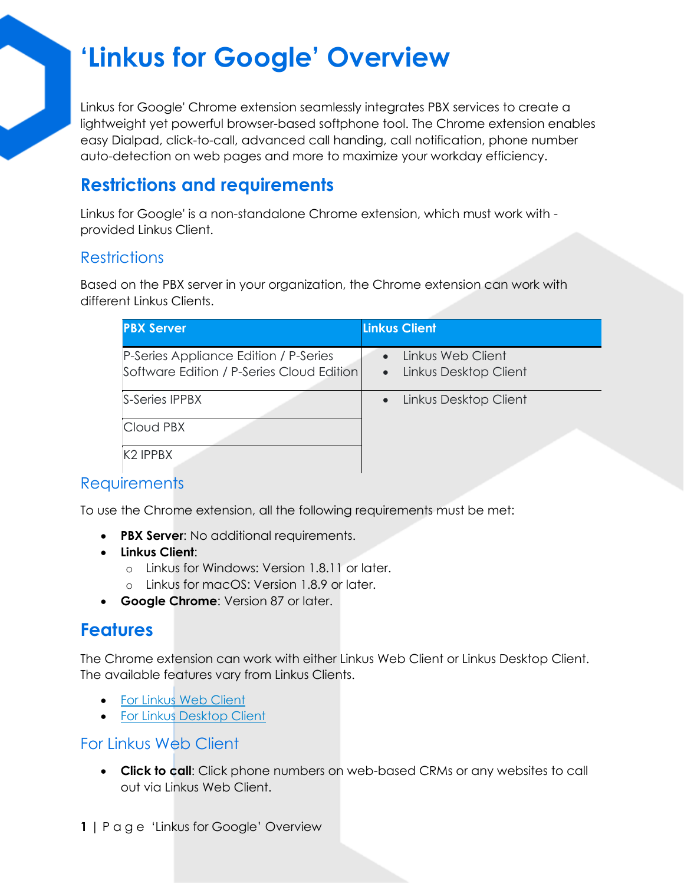## **'Linkus for Google' Overview**

Linkus for Google' Chrome extension seamlessly integrates PBX services to create a lightweight yet powerful browser-based softphone tool. The Chrome extension enables easy Dialpad, click-to-call, advanced call handing, call notification, phone number auto-detection on web pages and more to maximize your workday efficiency.

## **Restrictions and requirements**

Linkus for Google' is a non-standalone Chrome extension, which must work with provided Linkus Client.

### **Restrictions**

Based on the PBX server in your organization, the Chrome extension can work with different Linkus Clients.

| <b>PBX Server</b>                                                                  | <b>Linkus Client</b>                       |
|------------------------------------------------------------------------------------|--------------------------------------------|
| P-Series Appliance Edition / P-Series<br>Software Edition / P-Series Cloud Edition | Linkus Web Client<br>Linkus Desktop Client |
| S-Series IPPBX                                                                     | Linkus Desktop Client                      |
| Cloud PBX                                                                          |                                            |
| K <sub>2</sub> IPPBX                                                               |                                            |

### **Requirements**

To use the Chrome extension, all the following requirements must be met:

- **PBX Server**: No additional requirements.
- **Linkus Client**:
	- o Linkus for Windows: Version 1.8.11 or later.
	- o Linkus for macOS: Version 1.8.9 or later.
- **Google Chrome**: Version 87 or later.

### **Features**

The Chrome extension can work with either Linkus Web Client or Linkus Desktop Client. The available features vary from Linkus Clients.

- [For Linkus Web Client](https://help.yeastar.com/en/p-series-cloud-edition/yeastar-linkus-for-google-user-guide/yeastar-linkus-for-google-overview.html#yeastar-click-to-call-overview__web)
- [For Linkus Desktop Client](https://help.yeastar.com/en/p-series-cloud-edition/yeastar-linkus-for-google-user-guide/yeastar-linkus-for-google-overview.html#yeastar-click-to-call-overview__desktop)

#### For Linkus Web Client

- **Click to call**: Click phone numbers on web-based CRMs or any websites to call out via Linkus Web Client.
- **1** | P a g e 'Linkus for Google' Overview